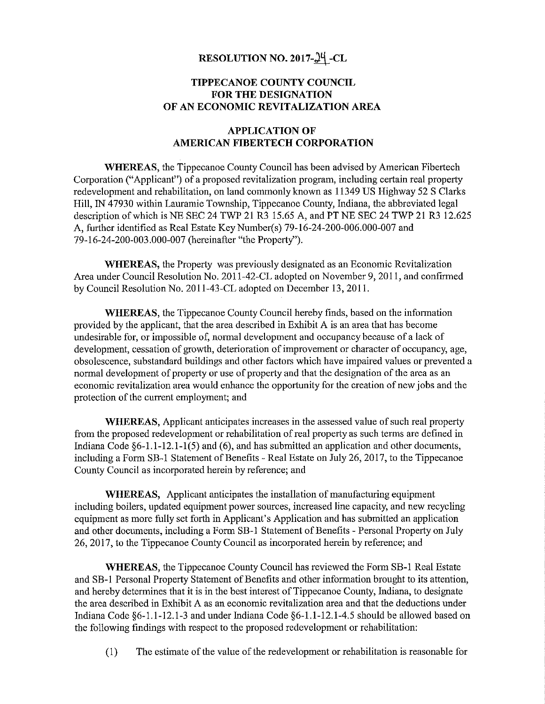## RESOLUTION NO. 2017-24 -CL

## TIPPECANOE COUNTY COUNCIL FOR THE DESIGNATION OF AN ECONOMIC REVITALIZATION AREA

#### APPLICATION OF AMERICAN FIBERTECH CORPORATION

WHEREAS, the Tippecanoe County Council has been advised by American Fibertech Corporation ("Applicant") of <sup>a</sup> proposed revitalization program, including certain real preperty redevelopment and rehabilitation, on land commonly known as 11349 US Highway 52 S Clarks Hill, IN 47930 within Laurarnie Township, Tippecanoe County, Indiana, the abbreviated legal description of which is NE SEC 24 TWP 21 R3 15.65 A, and PT NE SEC 24 TWP 21 R3 12.625 A, further identified as Real Estate Key Number(s) 79-16-24-200-006.000-007 and 79-16-24-200-003.000-007 (hereinafter "the Property").

WHEREAS, the Property was previously designated as an Economic Revitalization Area under Council Resolution No. 2011-42-CL adopted on November 9, 2011, and confirmed by Council Resolution No. 201 1—43 ~CL adopted on December 13, 201 1.

WHEREAS, the Tippecanoe County Council hereby finds, based on the information provided by the applicant, that the area described in Exhibit A is an area that has become undesirable for, or impossible of, normal development and occupancy because of <sup>a</sup> lack of development, cessation of growth, deterioration of improvement or character of occupancy, age, obsolescence, substandard buildings and other factors which have impaired values or prevented <sup>a</sup> normal development of property or use of property and that the designation of the area as an economic revitalization area would enhance the opportunity for the creation of new jobs and the protection of the current employment; and

WHEREAS, Applicant anticipates increases in the assessed value of such real property from the proposed redevelopment or rehabilitation ofreal property as such terms are defined in Indiana Code §6-1.1-12.1-1(5) and (6), and has submitted an application and other documents, including a Form  $SB-1$  Statement of Benefits - Real Estate on July 26, 2017, to the Tippecanoe County Council as incorporated herein by reference; and

WHEREAS, Applicant anticipates the installation of manufacturing equipment including boilers, updated equipment power sources, increased line capacity, and new recycling equipment as more fully set forth in Applicant's Application and has submitted an application and other documents, including a Form SB-1 Statement of Benefits - Personal Property on July 26, 2017, to the Tippecanoe County Council as incorporated herein by reference; and

WHEREAS, the Tippecanoe County Council has reviewed the Form SB-l Real Estate and SB-1 Personal Property Statement of Benefits and other information brought to its attention, and hereby determines that it is in the best interest of Tippecanoe County, Indiana, to designate the area described in Exhibit A as an economic revitalization area and that the deductions under Indiana Code §6-1.1-12.1—3 and under Indiana Code §6-1.1-12.1—4.5 should be allowed based on the following findings with respect to the proposed redevelopment or rehabilitation:

(1) The estimate of the value of the redevelopment or rehabilitation is reasonable for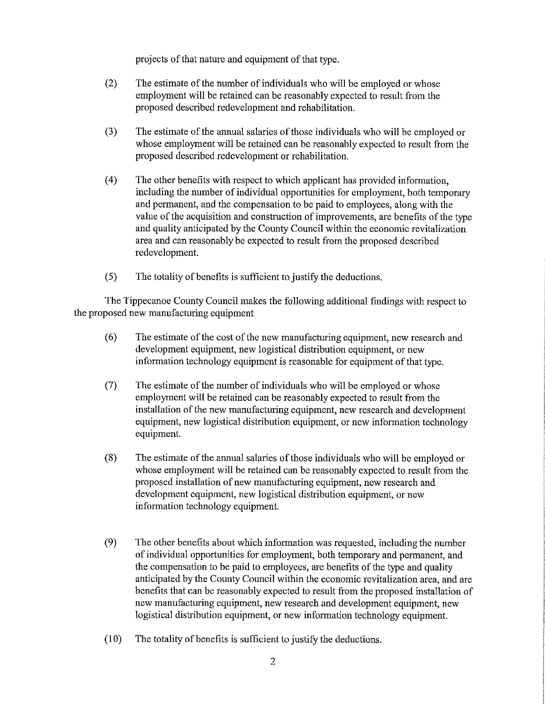projects of that nature and equipment of that type.

- (2) The estimate of the number of individuals who will be employed or whose employment will be retained can be reasonably expected to result from the proposed described redevelopment and rehabilitation.
- (3) The estimate of the annual salaries of those individuals who will be employed or whose employment will be retained can be reasonably expected to result from the proposed described redevelopment or rehabilitation.
- (4) The other benefits with respect to which applicant has provided information, including the number of individual opportunities for employment, both temporary and permanent, and the compensation to be paid to employees, along with the value of the acquisition and construction of improvements, are benefits of the type and quality anticipated by the County Council within the economic revitalization area and can reasonably be expected to result from the proposed described redevelopment.
- (5) The totality of benefits is sufficient to justify the deductions.

The Tippecanoe County Council makes the following additional findings with respect to the proposed new manufacturing equipment

- (6) The estimate of the cost of the new manufacturing equipment, new research and development equipment, new logistical distribution equipment, or new information technology equipment is reasonable for equipment of that type.
- (7) The estimate of the number of individuals who will be employed or whose employment will be retained can be reasonably expected to result from the installation of the new manufacturing equipment, new research and development equipment, new logistical distribution equipment, or new information technology equipment.
- (8) The estimate of the annual salaries of those individuals who will be employed or whose employment will be retained can be reasonably expected to result from the proposed installation of new manufacturing equipment, new research and development equipment, new logistical distribution equipment, or new information technology equipment.
- (9) The other benefits about which information was requested, including the number of individual opportunities for employment, both temporary and permanent, and the compensation to be paid to employees, are benefits of the type and quality anticipated by the County Council within the economic revitalization area, and are benefits that can be reasonably expected to result from the proposed installation of new manufacturing equipment, new research and development equipment, new logistical distribution equipment, or new information technology equipment.
- (10) The totality ofbenefits is sufficient to justify the deductions.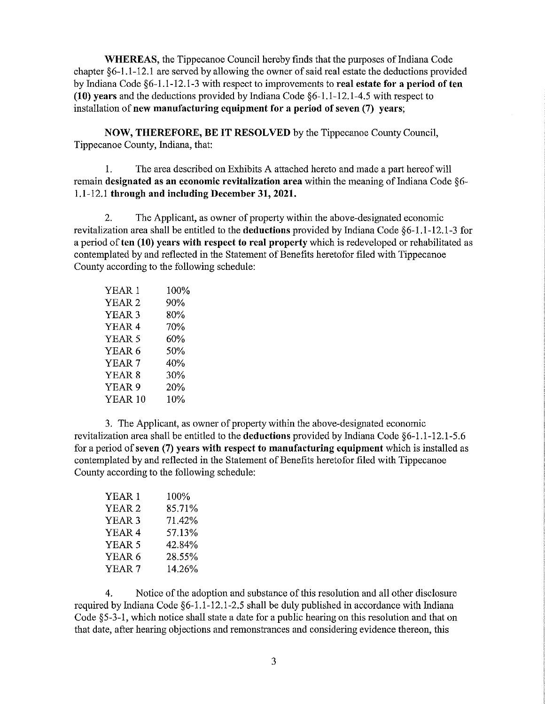WHEREAS, the Tippecanoe Council hereby finds that the purposes of Indiana Code chapter §6~l .1—12.l are served by allowing the owner of said real estate the deductions provided by Indiana Code §6-1.1-12.1-3 with respect to improvements to real estate for a period of ten (10) years and the deductions provided by Indiana Code §6—l.l—12.1—4.5 with respect to installation of new manufacturing equipment for a period of seven (7) years;

NOW, THEREFORE, BE IT RESOLVED by the Tippecanoe County Council, Tippecanoe County, Indiana, that:

l. The area described on Exhibits A attached hereto and made <sup>a</sup> part hereof will remain designated as an economic revitalization area within the meaning of Indiana Code §6 l.l—l2.l through and including December 31, 2021.

2. The Applicant, as owner of property within the above-designated economic revitalization area shall be entitled to the deductions provided by Indiana Code §6—1 .1—12.1—3 for a period of ten (10) years with respect to real property which is redeveloped or rehabilitated as contemplated by and reflected in the Statement of Benefits heretofor filed with Tippecanoe County according to the following schedule:

| YEAR 1         | 100% |
|----------------|------|
| YEAR 2         | 90%  |
| YEAR 3         | 80%  |
| YEAR 4         | 70%  |
| YEAR 5         | 60%  |
| YEAR 6         | 50%  |
| YEAR 7         | 40%  |
| YEAR 8         | 30%  |
| YEAR 9         | 20%  |
| <b>YEAR 10</b> | 10%  |

3. The Applicant, as owner of property within the above-designated economic revitalization area shall be entitled to the deductions provided by Indiana Code §6-1.1-12.1-5.6 for <sup>a</sup> period of seven (7) years with respect to manufacturing equipment which is installed as contemplated by and reflected in the Statement of Benefits heretofor filed with Tippecanoe County according to the following schedule:

| YEAR 1            | $100\%$ |  |
|-------------------|---------|--|
| YEAR <sub>2</sub> | 85.71%  |  |
| YEAR 3            | 71.42%  |  |
| YEAR <sub>4</sub> | 57.13%  |  |
| YEAR 5            | 42.84%  |  |
| YEAR 6            | 28.55%  |  |
| YEAR <sub>7</sub> | 14.26%  |  |

4. Notice of the adoption and substance of this resolution and all other disclosure required by Indiana Code §6—1.1-12.1—2.5 shall be duly published in accordance with Indiana Code §5—3-l, which notice shall state <sup>a</sup> date for <sup>a</sup> public hearing on this resolution and that on that date, after hearing objections and remonstrances and considering evidence thereon, this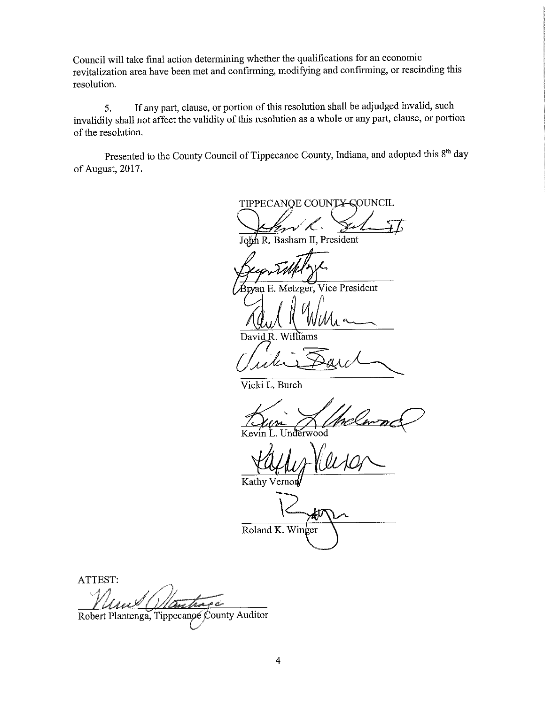Council will take final action determining whether the qualifications for an economic revitalization area have been met and confirming, modifying and confirming, or rescinding this resolution.

If any part, clause, or portion of this resolution shall be adjudged invalid, such  $5<sub>1</sub>$ invalidity shall not affect the validity of this resolution as a whole or any part, clause, or portion of the resolution.

Presented to the County Council of Tippecanoe County, Indiana, and adopted this 8<sup>th</sup> day of August, 2017.

TIPPECANOE COUNTY-COUNCIL

 $h$  R. Basham II, President

wan E. Metzger, Vice President

David R. Williams

Vicki L. Burch

Kevin wood

Kathy

Roland K. Winger

ATTEST: Baw Law ya<br>Maso

Robert Plantenga, Tippecanoe County Auditor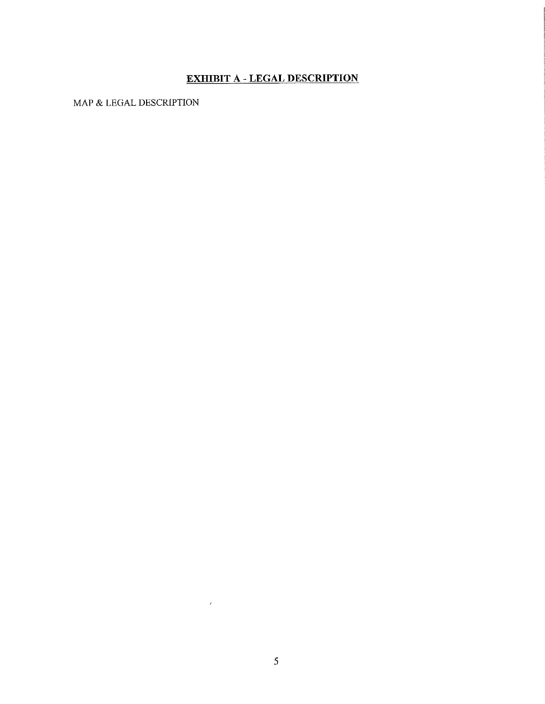# **EXHIBIT A - LEGAL DESCRIPTION**

MAP & LEGAL DESCRIPTION

 $\mathcal{B}^{\pm}$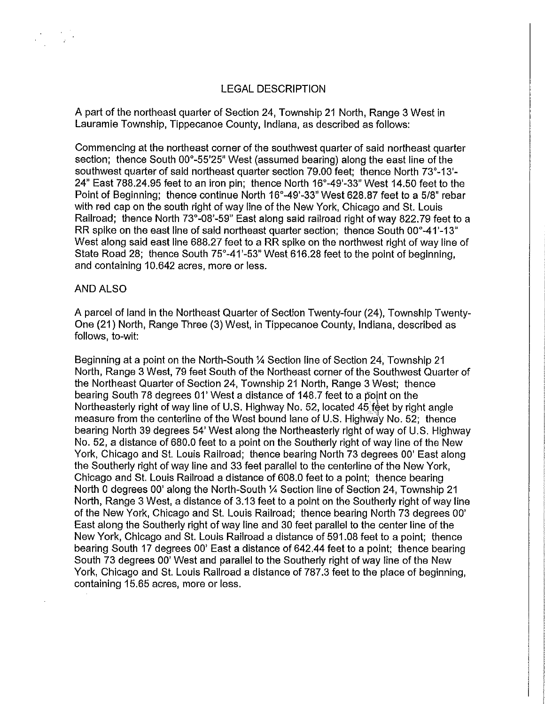A part of the northeast quarter of Section 24, Township 21 North, Range 3 West in Lauramie Township, Tippecanoe County, lndiana, as described as follows:

Commencing at the northeast corner of the southwest quarter of said northeast quarter section; thence South 00°-55'25" West (assumed bearing) along the east line of the southwest quarter of said northeast quarter section 79.00 feet; thence North 73°-13'-24" East 788.24.95 feet to an iron pin; thence North 16°-49'-33" West 14.50 feet to the Point of Beginning; thence continue North 16°-49'-33" West 628.87 feet to a 5/8" rebar with red cap on the south right of way line of the New York, Chicago and St. Louis Railroad; thence North 73°~08'-59" East along said railroad right of way 822.79 feet to <sup>a</sup> RR spike on the east line of said northeast quarter section; thence South 00°-41'-13" West along said east line 688.27 feet to a RR spike on the northwest right of way line of State Road 28; thence South 75°-41'-53" West 616.28 feet to the point of beginning, and containing 10.842 acres, more or less.

### AND ALSO

<sup>A</sup> parcel of land in the Northeast Quarter of Section Twenty-four (24), Township Twenty-One (21) North, Range Three (3) West, in Tippecanoe County, Indiana, described as follows, to-wit:

Beginning at a point on the North-South 1/4 Section line of Section 24, Township 21 North, Range 3 West, 79 feet South of the Northeast corner of the Southwest Quarter of the Northeast Quarter of Section 24, Township 21 North, Range 3 West; thence bearing South 78 degrees 01' West <sup>a</sup> distance of 148.7 feet to <sup>a</sup> point on the Northeasterly right of way line of U.S. Highway No. 52, located 45 feet by right angle measure from the centerline of the West bound lane of U.S. Highway No. 52; thence bearing North 39 degrees 54' West along the Northeasterly right of way of U.S. Highway No. 52, <sup>a</sup> distance of 880.0 feet to <sup>a</sup> point on the Southerly right of way line of the New York, Chicago and St. Louis Railroad; thence bearing North 73 degrees 00' East along the Southerly right of way line and 33 feet parallel to the centerline of the New York, Chicago and St. Louis Railroad <sup>a</sup> distance of 808.0 feetto <sup>a</sup> point; thence bearing North 0 degrees 00' along the North-South 1/4 Section line of Section 24, Township 21 North, Range 3 West, a distance of 3.13 feet to a point on the Southerly right of way line of the New York, Chicago and St. Louis Railroad; thence bearing North 73 degrees 00' East along the Southerly right of way line and 30 feet parallel to the center line of the New York, Chicago and St. Louis Railroad <sup>a</sup> distance of 591.08 feet to <sup>a</sup> point; thence bearing South 17 degrees 00' East a distance of 642.44 feet to a point; thence bearing South 73 degrees 00' West and parallel to the Southerly right of way line of the New York, Chicago and St. Louis Railroad a distance of 787.3 feet to the place of beginning, containing 15.85 acres, more or less.